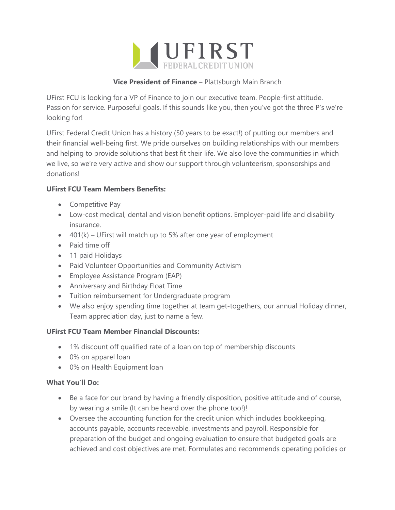

## **Vice President of Finance** – Plattsburgh Main Branch

UFirst FCU is looking for a VP of Finance to join our executive team. People-first attitude. Passion for service. Purposeful goals. If this sounds like you, then you've got the three P's we're looking for!

UFirst Federal Credit Union has a history (50 years to be exact!) of putting our members and their financial well-being first. We pride ourselves on building relationships with our members and helping to provide solutions that best fit their life. We also love the communities in which we live, so we're very active and show our support through volunteerism, sponsorships and donations!

# **UFirst FCU Team Members Benefits:**

- Competitive Pay
- Low-cost medical, dental and vision benefit options. Employer-paid life and disability insurance.
- $\bullet$  401(k) UFirst will match up to 5% after one year of employment
- Paid time off
- 11 paid Holidays
- Paid Volunteer Opportunities and Community Activism
- Employee Assistance Program (EAP)
- Anniversary and Birthday Float Time
- Tuition reimbursement for Undergraduate program
- We also enjoy spending time together at team get-togethers, our annual Holiday dinner, Team appreciation day, just to name a few.

### **UFirst FCU Team Member Financial Discounts:**

- 1% discount off qualified rate of a loan on top of membership discounts
- 0% on apparel loan
- 0% on Health Equipment loan

### **What You'll Do:**

- Be a face for our brand by having a friendly disposition, positive attitude and of course, by wearing a smile (It can be heard over the phone too!)!
- Oversee the accounting function for the credit union which includes bookkeeping, accounts payable, accounts receivable, investments and payroll. Responsible for preparation of the budget and ongoing evaluation to ensure that budgeted goals are achieved and cost objectives are met. Formulates and recommends operating policies or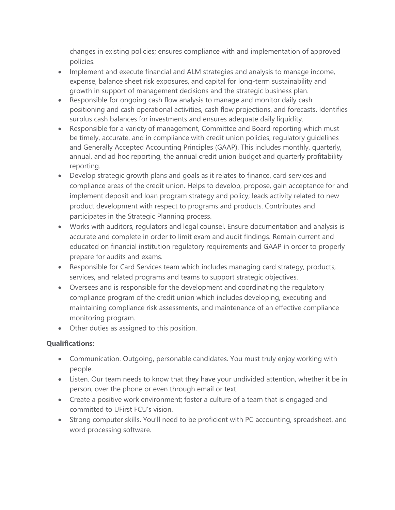changes in existing policies; ensures compliance with and implementation of approved policies.

- Implement and execute financial and ALM strategies and analysis to manage income, expense, balance sheet risk exposures, and capital for long-term sustainability and growth in support of management decisions and the strategic business plan.
- Responsible for ongoing cash flow analysis to manage and monitor daily cash positioning and cash operational activities, cash flow projections, and forecasts. Identifies surplus cash balances for investments and ensures adequate daily liquidity.
- Responsible for a variety of management, Committee and Board reporting which must be timely, accurate, and in compliance with credit union policies, regulatory guidelines and Generally Accepted Accounting Principles (GAAP). This includes monthly, quarterly, annual, and ad hoc reporting, the annual credit union budget and quarterly profitability reporting.
- Develop strategic growth plans and goals as it relates to finance, card services and compliance areas of the credit union. Helps to develop, propose, gain acceptance for and implement deposit and loan program strategy and policy; leads activity related to new product development with respect to programs and products. Contributes and participates in the Strategic Planning process.
- Works with auditors, regulators and legal counsel. Ensure documentation and analysis is accurate and complete in order to limit exam and audit findings. Remain current and educated on financial institution regulatory requirements and GAAP in order to properly prepare for audits and exams.
- Responsible for Card Services team which includes managing card strategy, products, services, and related programs and teams to support strategic objectives.
- Oversees and is responsible for the development and coordinating the regulatory compliance program of the credit union which includes developing, executing and maintaining compliance risk assessments, and maintenance of an effective compliance monitoring program.
- Other duties as assigned to this position.

# **Qualifications:**

- Communication. Outgoing, personable candidates. You must truly enjoy working with people.
- Listen. Our team needs to know that they have your undivided attention, whether it be in person, over the phone or even through email or text.
- Create a positive work environment; foster a culture of a team that is engaged and committed to UFirst FCU's vision.
- Strong computer skills. You'll need to be proficient with PC accounting, spreadsheet, and word processing software.